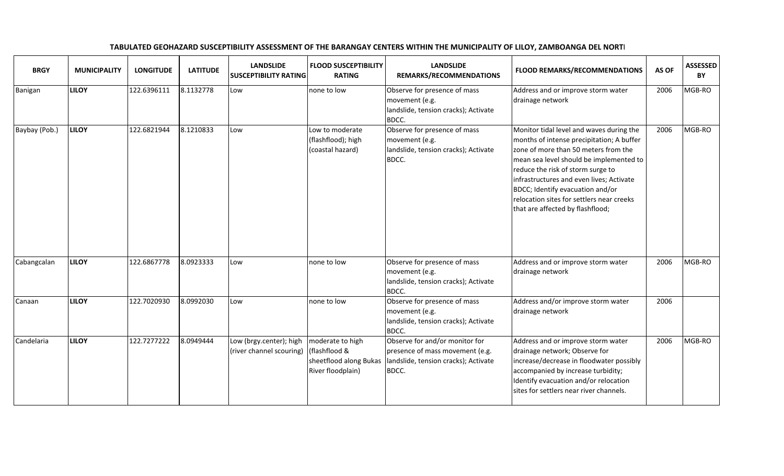| <b>BRGY</b>   | <b>MUNICIPALITY</b> | <b>LONGITUDE</b> | <b>LATITUDE</b> | <b>LANDSLIDE</b><br><b>SUSCEPTIBILITY RATING</b>    | <b>FLOOD SUSCEPTIBILITY</b><br><b>RATING</b>                                     | <b>LANDSLIDE</b><br>REMARKS/RECOMMENDATIONS                                                                        | <b>FLOOD REMARKS/RECOMMENDATIONS</b>                                                                                                                                                                                                                                                                                                                                           | AS OF | <b>ASSESSED</b><br>BY |
|---------------|---------------------|------------------|-----------------|-----------------------------------------------------|----------------------------------------------------------------------------------|--------------------------------------------------------------------------------------------------------------------|--------------------------------------------------------------------------------------------------------------------------------------------------------------------------------------------------------------------------------------------------------------------------------------------------------------------------------------------------------------------------------|-------|-----------------------|
| Banigan       | <b>LILOY</b>        | 122.6396111      | 8.1132778       | Low                                                 | none to low                                                                      | Observe for presence of mass<br>movement (e.g.<br>landslide, tension cracks); Activate<br>BDCC.                    | Address and or improve storm water<br>drainage network                                                                                                                                                                                                                                                                                                                         | 2006  | MGB-RO                |
| Baybay (Pob.) | <b>LILOY</b>        | 122.6821944      | 8.1210833       | Low                                                 | Low to moderate<br>(flashflood); high<br>(coastal hazard)                        | Observe for presence of mass<br>movement (e.g.<br>landslide, tension cracks); Activate<br>BDCC.                    | Monitor tidal level and waves during the<br>months of intense precipitation; A buffer<br>zone of more than 50 meters from the<br>mean sea level should be implemented to<br>reduce the risk of storm surge to<br>infrastructures and even lives; Activate<br>BDCC; Identify evacuation and/or<br>relocation sites for settlers near creeks<br>that are affected by flashflood; | 2006  | MGB-RO                |
| Cabangcalan   | <b>LILOY</b>        | 122.6867778      | 8.0923333       | Low                                                 | none to low                                                                      | Observe for presence of mass<br>movement (e.g.<br>landslide, tension cracks); Activate<br>BDCC.                    | Address and or improve storm water<br>drainage network                                                                                                                                                                                                                                                                                                                         | 2006  | MGB-RO                |
| Canaan        | <b>LILOY</b>        | 122.7020930      | 8.0992030       | Low                                                 | none to low                                                                      | Observe for presence of mass<br>movement (e.g.<br>landslide, tension cracks); Activate<br>BDCC.                    | Address and/or improve storm water<br>drainage network                                                                                                                                                                                                                                                                                                                         | 2006  |                       |
| Candelaria    | <b>LILOY</b>        | 122.7277222      | 8.0949444       | Low (brgy.center); high<br>(river channel scouring) | moderate to high<br>(flashflood &<br>sheetflood along Bukas<br>River floodplain) | Observe for and/or monitor for<br>presence of mass movement (e.g.<br>landslide, tension cracks); Activate<br>BDCC. | Address and or improve storm water<br>drainage network; Observe for<br>increase/decrease in floodwater possibly<br>accompanied by increase turbidity;<br>Identify evacuation and/or relocation<br>sites for settlers near river channels.                                                                                                                                      | 2006  | MGB-RO                |

## TABULATED GEOHAZARD SUSCEPTIBILITY ASSESSMENT OF THE BARANGAY CENTERS WITHIN THE MUNICIPALITY OF LILOY, ZAMBOANGA DEL NORTE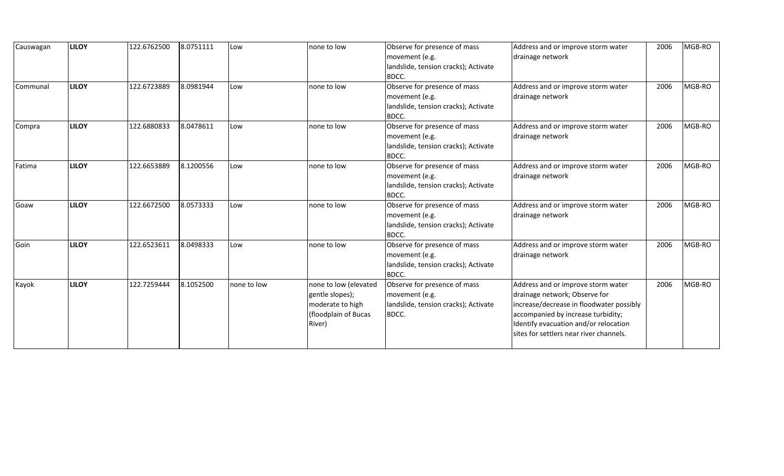| Causwagan | <b>LILOY</b> | 122.6762500 | 8.0751111 | Low         | none to low           | Observe for presence of mass         | Address and or improve storm water       | 2006 | MGB-RO |
|-----------|--------------|-------------|-----------|-------------|-----------------------|--------------------------------------|------------------------------------------|------|--------|
|           |              |             |           |             |                       | movement (e.g.                       | drainage network                         |      |        |
|           |              |             |           |             |                       | landslide, tension cracks); Activate |                                          |      |        |
|           |              |             |           |             |                       | BDCC.                                |                                          |      |        |
| Communal  | <b>LILOY</b> | 122.6723889 | 8.0981944 | Low         | none to low           | Observe for presence of mass         | Address and or improve storm water       | 2006 | MGB-RO |
|           |              |             |           |             |                       | movement (e.g.                       | drainage network                         |      |        |
|           |              |             |           |             |                       | landslide, tension cracks); Activate |                                          |      |        |
|           |              |             |           |             |                       | BDCC.                                |                                          |      |        |
| Compra    | <b>LILOY</b> | 122.6880833 | 8.0478611 | Low         | none to low           | Observe for presence of mass         | Address and or improve storm water       | 2006 | MGB-RO |
|           |              |             |           |             |                       | movement (e.g.                       | drainage network                         |      |        |
|           |              |             |           |             |                       | landslide, tension cracks); Activate |                                          |      |        |
|           |              |             |           |             |                       | BDCC.                                |                                          |      |        |
| Fatima    | <b>LILOY</b> | 122.6653889 | 8.1200556 | Low         | none to low           | Observe for presence of mass         | Address and or improve storm water       | 2006 | MGB-RO |
|           |              |             |           |             |                       | movement (e.g.                       | drainage network                         |      |        |
|           |              |             |           |             |                       | landslide, tension cracks); Activate |                                          |      |        |
|           |              |             |           |             |                       | BDCC.                                |                                          |      |        |
| Goaw      | <b>LILOY</b> | 122.6672500 | 8.0573333 | Low         | none to low           | Observe for presence of mass         | Address and or improve storm water       | 2006 | MGB-RO |
|           |              |             |           |             |                       | movement (e.g.                       | drainage network                         |      |        |
|           |              |             |           |             |                       | landslide, tension cracks); Activate |                                          |      |        |
|           |              |             |           |             |                       | BDCC.                                |                                          |      |        |
| Goin      | <b>LILOY</b> | 122.6523611 | 8.0498333 | Low         | none to low           | Observe for presence of mass         | Address and or improve storm water       | 2006 | MGB-RO |
|           |              |             |           |             |                       | movement (e.g.                       | drainage network                         |      |        |
|           |              |             |           |             |                       | landslide, tension cracks); Activate |                                          |      |        |
|           |              |             |           |             |                       | BDCC.                                |                                          |      |        |
| Kayok     | <b>LILOY</b> | 122.7259444 | 8.1052500 | none to low | none to low (elevated | Observe for presence of mass         | Address and or improve storm water       | 2006 | MGB-RO |
|           |              |             |           |             | gentle slopes);       | movement (e.g.                       | drainage network; Observe for            |      |        |
|           |              |             |           |             | moderate to high      | landslide, tension cracks); Activate | increase/decrease in floodwater possibly |      |        |
|           |              |             |           |             | (floodplain of Bucas  | BDCC.                                | accompanied by increase turbidity;       |      |        |
|           |              |             |           |             | River)                |                                      | Identify evacuation and/or relocation    |      |        |
|           |              |             |           |             |                       |                                      | sites for settlers near river channels.  |      |        |
|           |              |             |           |             |                       |                                      |                                          |      |        |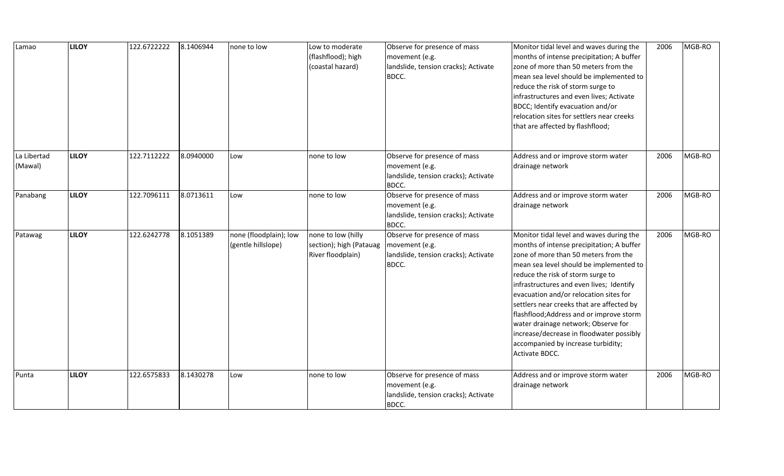| Lamao                  | <b>LILOY</b> | 122.6722222 | 8.1406944 | none to low                                  | Low to moderate<br>(flashflood); high<br>(coastal hazard)          | Observe for presence of mass<br>movement (e.g.<br>landslide, tension cracks); Activate<br>BDCC. | Monitor tidal level and waves during the<br>months of intense precipitation; A buffer<br>zone of more than 50 meters from the<br>mean sea level should be implemented to<br>reduce the risk of storm surge to<br>infrastructures and even lives; Activate<br>BDCC; Identify evacuation and/or<br>relocation sites for settlers near creeks<br>that are affected by flashflood;                                                                                                                                                          | 2006 | MGB-RO |
|------------------------|--------------|-------------|-----------|----------------------------------------------|--------------------------------------------------------------------|-------------------------------------------------------------------------------------------------|-----------------------------------------------------------------------------------------------------------------------------------------------------------------------------------------------------------------------------------------------------------------------------------------------------------------------------------------------------------------------------------------------------------------------------------------------------------------------------------------------------------------------------------------|------|--------|
| La Libertad<br>(Mawal) | <b>LILOY</b> | 122.7112222 | 8.0940000 | Low                                          | none to low                                                        | Observe for presence of mass<br>movement (e.g.<br>landslide, tension cracks); Activate<br>BDCC. | Address and or improve storm water<br>drainage network                                                                                                                                                                                                                                                                                                                                                                                                                                                                                  | 2006 | MGB-RO |
| Panabang               | <b>LILOY</b> | 122.7096111 | 8.0713611 | Low                                          | none to low                                                        | Observe for presence of mass<br>movement (e.g.<br>landslide, tension cracks); Activate<br>BDCC. | Address and or improve storm water<br>drainage network                                                                                                                                                                                                                                                                                                                                                                                                                                                                                  | 2006 | MGB-RO |
| Patawag                | <b>LILOY</b> | 122.6242778 | 8.1051389 | none (floodplain); low<br>(gentle hillslope) | none to low (hilly<br>section); high (Patauag<br>River floodplain) | Observe for presence of mass<br>movement (e.g.<br>landslide, tension cracks); Activate<br>BDCC. | Monitor tidal level and waves during the<br>months of intense precipitation; A buffer<br>zone of more than 50 meters from the<br>mean sea level should be implemented to<br>reduce the risk of storm surge to<br>infrastructures and even lives; Identify<br>evacuation and/or relocation sites for<br>settlers near creeks that are affected by<br>flashflood; Address and or improve storm<br>water drainage network; Observe for<br>increase/decrease in floodwater possibly<br>accompanied by increase turbidity;<br>Activate BDCC. | 2006 | MGB-RO |
| Punta                  | <b>LILOY</b> | 122.6575833 | 8.1430278 | Low                                          | none to low                                                        | Observe for presence of mass<br>movement (e.g.<br>landslide, tension cracks); Activate<br>BDCC. | Address and or improve storm water<br>drainage network                                                                                                                                                                                                                                                                                                                                                                                                                                                                                  | 2006 | MGB-RO |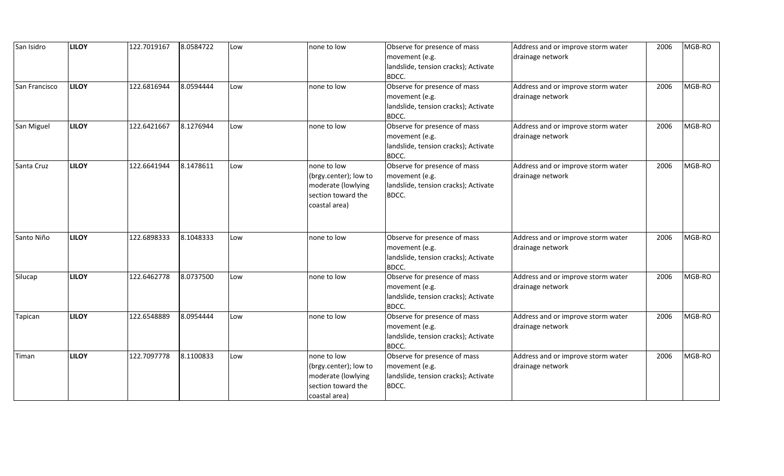| San Isidro    | <b>LILOY</b> | 122.7019167 | 8.0584722 | Low | none to low                                                                                       | Observe for presence of mass<br>movement (e.g.<br>landslide, tension cracks); Activate<br>BDCC. | Address and or improve storm water<br>drainage network | 2006 | MGB-RO |
|---------------|--------------|-------------|-----------|-----|---------------------------------------------------------------------------------------------------|-------------------------------------------------------------------------------------------------|--------------------------------------------------------|------|--------|
| San Francisco | <b>LILOY</b> | 122.6816944 | 8.0594444 | Low | none to low                                                                                       | Observe for presence of mass<br>movement (e.g.<br>landslide, tension cracks); Activate<br>BDCC. | Address and or improve storm water<br>drainage network | 2006 | MGB-RO |
| San Miguel    | <b>LILOY</b> | 122.6421667 | 8.1276944 | Low | none to low                                                                                       | Observe for presence of mass<br>movement (e.g.<br>landslide, tension cracks); Activate<br>BDCC. | Address and or improve storm water<br>drainage network | 2006 | MGB-RO |
| Santa Cruz    | <b>LILOY</b> | 122.6641944 | 8.1478611 | Low | none to low<br>(brgy.center); low to<br>moderate (lowlying<br>section toward the<br>coastal area) | Observe for presence of mass<br>movement (e.g.<br>landslide, tension cracks); Activate<br>BDCC. | Address and or improve storm water<br>drainage network | 2006 | MGB-RO |
| Santo Niño    | <b>LILOY</b> | 122.6898333 | 8.1048333 | Low | none to low                                                                                       | Observe for presence of mass<br>movement (e.g.<br>landslide, tension cracks); Activate<br>BDCC. | Address and or improve storm water<br>drainage network | 2006 | MGB-RO |
| Silucap       | <b>LILOY</b> | 122.6462778 | 8.0737500 | Low | none to low                                                                                       | Observe for presence of mass<br>movement (e.g.<br>landslide, tension cracks); Activate<br>BDCC. | Address and or improve storm water<br>drainage network | 2006 | MGB-RO |
| Tapican       | <b>LILOY</b> | 122.6548889 | 8.0954444 | Low | none to low                                                                                       | Observe for presence of mass<br>movement (e.g.<br>landslide, tension cracks); Activate<br>BDCC. | Address and or improve storm water<br>drainage network | 2006 | MGB-RO |
| Timan         | <b>LILOY</b> | 122.7097778 | 8.1100833 | Low | none to low<br>(brgy.center); low to<br>moderate (lowlying<br>section toward the<br>coastal area) | Observe for presence of mass<br>movement (e.g.<br>landslide, tension cracks); Activate<br>BDCC. | Address and or improve storm water<br>drainage network | 2006 | MGB-RO |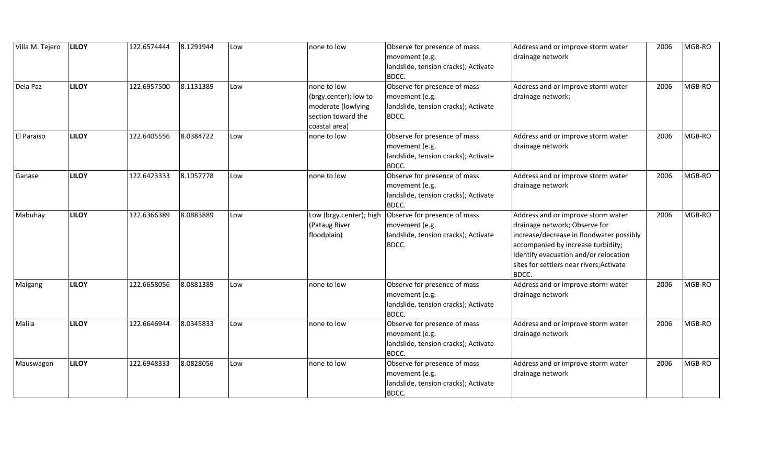| Villa M. Tejero   | <b>LILOY</b> | 122.6574444 | 8.1291944 | Low | none to low             | Observe for presence of mass         | Address and or improve storm water       | 2006 | MGB-RO |
|-------------------|--------------|-------------|-----------|-----|-------------------------|--------------------------------------|------------------------------------------|------|--------|
|                   |              |             |           |     |                         | movement (e.g.                       | drainage network                         |      |        |
|                   |              |             |           |     |                         | landslide, tension cracks); Activate |                                          |      |        |
|                   |              |             |           |     |                         | BDCC.                                |                                          |      |        |
| Dela Paz          | <b>LILOY</b> | 122.6957500 | 8.1131389 | Low | none to low             | Observe for presence of mass         | Address and or improve storm water       | 2006 | MGB-RO |
|                   |              |             |           |     | (brgy.center); low to   | movement (e.g.                       | drainage network;                        |      |        |
|                   |              |             |           |     | moderate (lowlying      | landslide, tension cracks); Activate |                                          |      |        |
|                   |              |             |           |     | section toward the      | BDCC.                                |                                          |      |        |
|                   |              |             |           |     | coastal area)           |                                      |                                          |      |        |
| <b>El Paraiso</b> | <b>LILOY</b> | 122.6405556 | 8.0384722 | Low | none to low             | Observe for presence of mass         | Address and or improve storm water       | 2006 | MGB-RO |
|                   |              |             |           |     |                         | movement (e.g.                       | drainage network                         |      |        |
|                   |              |             |           |     |                         | landslide, tension cracks); Activate |                                          |      |        |
|                   |              |             |           |     |                         | BDCC.                                |                                          |      |        |
| Ganase            | <b>LILOY</b> | 122.6423333 | 8.1057778 | Low | none to low             | Observe for presence of mass         | Address and or improve storm water       | 2006 | MGB-RO |
|                   |              |             |           |     |                         | movement (e.g.                       | drainage network                         |      |        |
|                   |              |             |           |     |                         | landslide, tension cracks); Activate |                                          |      |        |
|                   |              |             |           |     |                         | BDCC.                                |                                          |      |        |
| Mabuhay           | <b>LILOY</b> | 122.6366389 | 8.0883889 | Low | Low (brgy.center); high | Observe for presence of mass         | Address and or improve storm water       | 2006 | MGB-RO |
|                   |              |             |           |     | (Pataug River           | movement (e.g.                       | drainage network; Observe for            |      |        |
|                   |              |             |           |     | floodplain)             | landslide, tension cracks); Activate | increase/decrease in floodwater possibly |      |        |
|                   |              |             |           |     |                         | BDCC.                                | accompanied by increase turbidity;       |      |        |
|                   |              |             |           |     |                         |                                      | Identify evacuation and/or relocation    |      |        |
|                   |              |             |           |     |                         |                                      | sites for settlers near rivers; Activate |      |        |
|                   |              |             |           |     |                         |                                      | BDCC.                                    |      |        |
| Maigang           | <b>LILOY</b> | 122.6658056 | 8.0881389 | Low | none to low             | Observe for presence of mass         | Address and or improve storm water       | 2006 | MGB-RO |
|                   |              |             |           |     |                         | movement (e.g.                       | drainage network                         |      |        |
|                   |              |             |           |     |                         | landslide, tension cracks); Activate |                                          |      |        |
|                   |              |             |           |     |                         | BDCC.                                |                                          |      |        |
| Malila            | <b>LILOY</b> | 122.6646944 | 8.0345833 | Low | none to low             | Observe for presence of mass         | Address and or improve storm water       | 2006 | MGB-RO |
|                   |              |             |           |     |                         | movement (e.g.                       | drainage network                         |      |        |
|                   |              |             |           |     |                         | landslide, tension cracks); Activate |                                          |      |        |
|                   |              |             |           |     |                         | BDCC.                                |                                          |      |        |
| Mauswagon         | <b>LILOY</b> | 122.6948333 | 8.0828056 | Low | none to low             | Observe for presence of mass         | Address and or improve storm water       | 2006 | MGB-RO |
|                   |              |             |           |     |                         | movement (e.g.                       | drainage network                         |      |        |
|                   |              |             |           |     |                         | landslide, tension cracks); Activate |                                          |      |        |
|                   |              |             |           |     |                         | BDCC.                                |                                          |      |        |